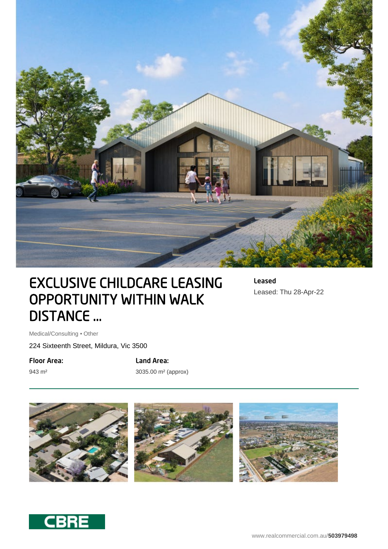

# EXCLUSIVE CHILDCARE LEASING OPPORTUNITY WITHIN WALK DISTANCE ...

Leased Leased: Thu 28-Apr-22

Medical/Consulting • Other

224 Sixteenth Street, Mildura, Vic 3500

Floor Area:

943 m²

Land Area: 3035.00 m² (approx)